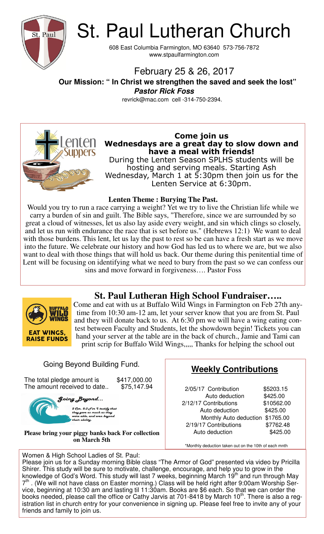

# St. Paul Lutheran Church

608 East Columbia Farmington, MO 63640 573-756-7872 www.stpaulfarmington.com

# February 25 & 26, 2017

 **Our Mission: " In Christ we strengthen the saved and seek the lost" Pastor Rick Foss** 

revrick@mac.com cell -314-750-2394.



## **Come join us Wednesdays are a great day to slow down and have a meal with friends!**

During the Lenten Season SPLHS students will be hosting and serving meals. Starting Ash Wednesday, March 1 at  $\overline{5:}30$ pm then join us for the Lenten Service at 6:30pm.

## **Lenten Theme : Burying The Past.**

Would you try to run a race carrying a weight? Yet we try to live the Christian life while we carry a burden of sin and guilt. The Bible says, "Therefore, since we are surrounded by so great a cloud of witnesses, let us also lay aside every weight, and sin which clings so closely, and let us run with endurance the race that is set before us." (Hebrews 12:1) We want to deal with those burdens. This lent, let us lay the past to rest so be can have a fresh start as we move into the future. We celebrate our history and how God has led us to where we are, but we also want to deal with those things that will hold us back. Our theme during this penitential time of Lent will be focusing on identifying what we need to bury from the past so we can confess our sins and move forward in forgiveness…. Pastor Foss

# **St. Paul Lutheran High School Fundraiser…..**



Come and eat with us at Buffalo Wild Wings in Farmington on Feb 27th anytime from 10:30 am-12 am, let your server know that you are from St. Paul and they will donate back to us. At 6:30 pm we will have a wing eating contest between Faculty and Students, let the showdown begin! Tickets you can hand your server at the table are in the back of church., Jamie and Tami can print scrip for Buffalo Wild Wings,,,,, Thanks for helping the school out

# Going Beyond Building Fund.

The total pledge amount is \$417,000.00<br>The amount received to date.. \$75,147.94 The amount received to date..

Going Beyond...

2 Cor. 8:3 For I testify that<br>they gave as much as they<br>were able, and even beyond<br>their ability.

**Please bring your piggy banks back For collection on March 5th** 

#### Women & High School Ladies of St. Paul:

# **Weekly Contributions**

2/05/17 Contribution \$5203.15 Auto deduction \$425.00 2/12/17 Contributions \$10562.00 Auto deduction \$425.00 Monthly Auto deduction \$1765.00 2/19/17 Contributions \$7762.48 Auto deduction  $$425.00$ 

\*Monthly deduction taken out on the 10th of each mnth

Please join us for a Sunday morning Bible class "The Armor of God" presented via video by Pricilla Shirer. This study will be sure to motivate, challenge, encourage, and help you to grow in the knowledge of God's Word. This study will last 7 weeks, beginning March 19<sup>th</sup> and run through May 7<sup>th</sup>. (We will not have class on Easter morning.) Class will be held right after 9:00am Worship Service, beginning at 10:30 am and lasting til 11:30am. Books are \$6 each. So that we can order the books needed, please call the office or Cathy Jarvis at 701-8418 by March  $10<sup>th</sup>$ . There is also a registration list in church entry for your convenience in signing up. Please feel free to invite any of your friends and family to join us.